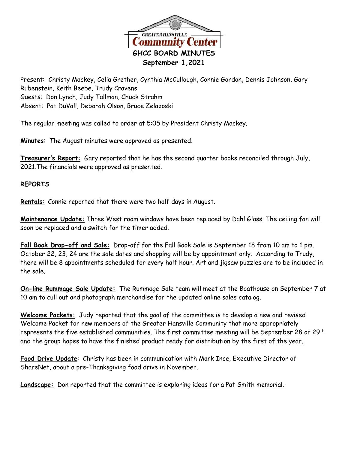

Present: Christy Mackey, Celia Grether, Cynthia McCullough, Connie Gordon, Dennis Johnson, Gary Rubenstein, Keith Beebe, Trudy Cravens Guests: Don Lynch, Judy Tallman, Chuck Strahm Absent: Pat DuVall, Deborah Olson, Bruce Zelazoski

The regular meeting was called to order at 5:05 by President Christy Mackey.

**Minutes**: The August minutes were approved as presented.

**Treasurer's Report:** Gary reported that he has the second quarter books reconciled through July, 2021.The financials were approved as presented.

## **REPORTS**

**Rentals:** Connie reported that there were two half days in August.

**Maintenance Update:** Three West room windows have been replaced by Dahl Glass. The ceiling fan will soon be replaced and a switch for the timer added.

**Fall Book Drop-off and Sale:** Drop-off for the Fall Book Sale is September 18 from 10 am to 1 pm. October 22, 23, 24 are the sale dates and shopping will be by appointment only. According to Trudy, there will be 8 appointments scheduled for every half hour. Art and jigsaw puzzles are to be included in the sale.

**On-line Rummage Sale Update:** The Rummage Sale team will meet at the Boathouse on September 7 at 10 am to cull out and photograph merchandise for the updated online sales catalog.

**Welcome Packets:** Judy reported that the goal of the committee is to develop a new and revised Welcome Packet for new members of the Greater Hansville Community that more appropriately represents the five established communities. The first committee meeting will be September 28 or 29<sup>th</sup> and the group hopes to have the finished product ready for distribution by the first of the year.

**Food Drive Update**: Christy has been in communication with Mark Ince, Executive Director of ShareNet, about a pre-Thanksgiving food drive in November.

**Landscape:** Don reported that the committee is exploring ideas for a Pat Smith memorial.